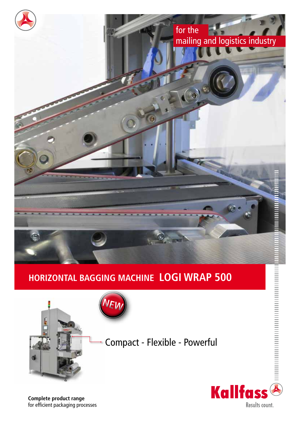





**Complete product range** for efficient packaging processes